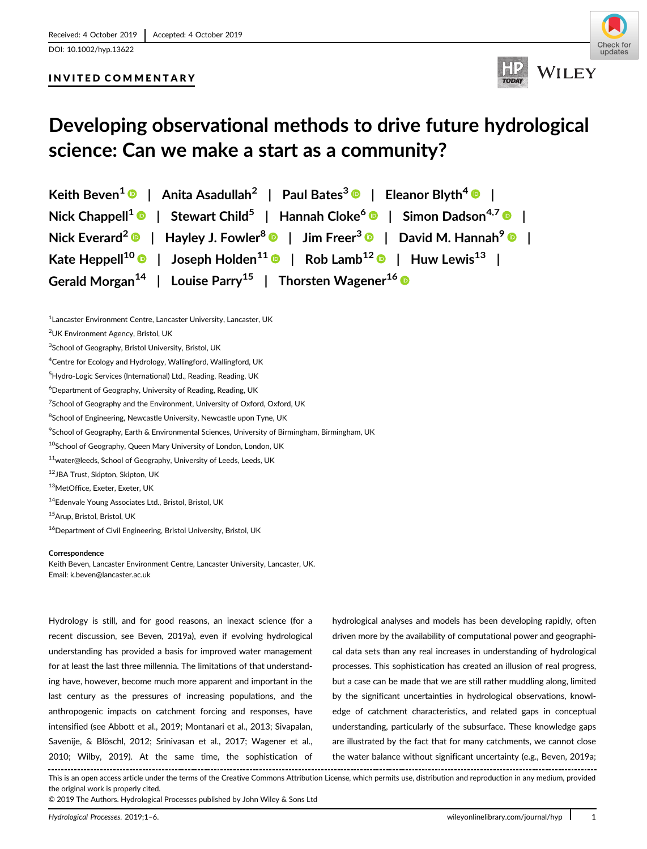# INVITED COMMENTARY





# **Developing observational methods to drive future hydrological science: Can we make a start as a community?**

**Keith Beven<sup>1</sup> | Anita Asadullah<sup>2</sup> | Paul Bates<sup>3</sup> | Eleanor Blyth<sup>4</sup> | Nick Chappell<sup>1</sup> | Stewart Child<sup>5</sup> | Hannah Cloke<sup>6</sup> | Simon Dadson4,7 | Nick Everard2 | Hayley J. Fowler<sup>8</sup> | Jim Freer<sup>3</sup> | David M. Hannah<sup>9</sup> | Kate Heppell<sup>10</sup> | Joseph Holden<sup>11</sup> | Rob Lamb<sup>12</sup> | Huw Lewis<sup>13</sup> | Gerald Morgan<sup>14</sup> | Louise Parry<sup>15</sup> | Thorsten Wagener<sup>16</sup>**

<sup>1</sup> Lancaster Environment Centre, Lancaster University, Lancaster, UK

<sup>8</sup>School of Engineering, Newcastle University, Newcastle upon Tyne, UK

- 12JBA Trust, Skipton, Skipton, UK
- 13MetOffice, Exeter, Exeter, UK

14Edenvale Young Associates Ltd., Bristol, Bristol, UK

<sup>16</sup>Department of Civil Engineering, Bristol University, Bristol, UK

#### **Correspondence**

Keith Beven, Lancaster Environment Centre, Lancaster University, Lancaster, UK. Email: [k.beven@lancaster.ac.uk](mailto:k.beven@lancaster.ac.uk)

Hydrology is still, and for good reasons, an inexact science (for a recent discussion, see Beven, 2019a), even if evolving hydrological understanding has provided a basis for improved water management for at least the last three millennia. The limitations of that understanding have, however, become much more apparent and important in the last century as the pressures of increasing populations, and the anthropogenic impacts on catchment forcing and responses, have intensified (see Abbott et al., 2019; Montanari et al., 2013; Sivapalan, Savenije, & Blöschl, 2012; Srinivasan et al., 2017; Wagener et al., 2010; Wilby, 2019). At the same time, the sophistication of

hydrological analyses and models has been developing rapidly, often driven more by the availability of computational power and geographical data sets than any real increases in understanding of hydrological processes. This sophistication has created an illusion of real progress, but a case can be made that we are still rather muddling along, limited by the significant uncertainties in hydrological observations, knowledge of catchment characteristics, and related gaps in conceptual understanding, particularly of the subsurface. These knowledge gaps are illustrated by the fact that for many catchments, we cannot close the water balance without significant uncertainty (e.g., Beven, 2019a;

This is an open access article under the terms of the [Creative Commons Attribution](http://creativecommons.org/licenses/by/4.0/) License, which permits use, distribution and reproduction in any medium, provided the original work is properly cited.

© 2019 The Authors. Hydrological Processes published by John Wiley & Sons Ltd

<sup>2</sup> UK Environment Agency, Bristol, UK

<sup>&</sup>lt;sup>3</sup>School of Geography, Bristol University, Bristol, UK

<sup>&</sup>lt;sup>4</sup>Centre for Ecology and Hydrology, Wallingford, Wallingford, UK

<sup>&</sup>lt;sup>5</sup>Hydro-Logic Services (International) Ltd., Reading, Reading, UK

 $^6$ Department of Geography, University of Reading, Reading, UK

<sup>&</sup>lt;sup>7</sup>School of Geography and the Environment, University of Oxford, Oxford, UK

 $^9$ School of Geography, Earth & Environmental Sciences, University of Birmingham, Birmingham, UK

<sup>10</sup>School of Geography, Queen Mary University of London, London, UK

<sup>11</sup>water@leeds, School of Geography, University of Leeds, Leeds, UK

<sup>15</sup>Arup, Bristol, Bristol, UK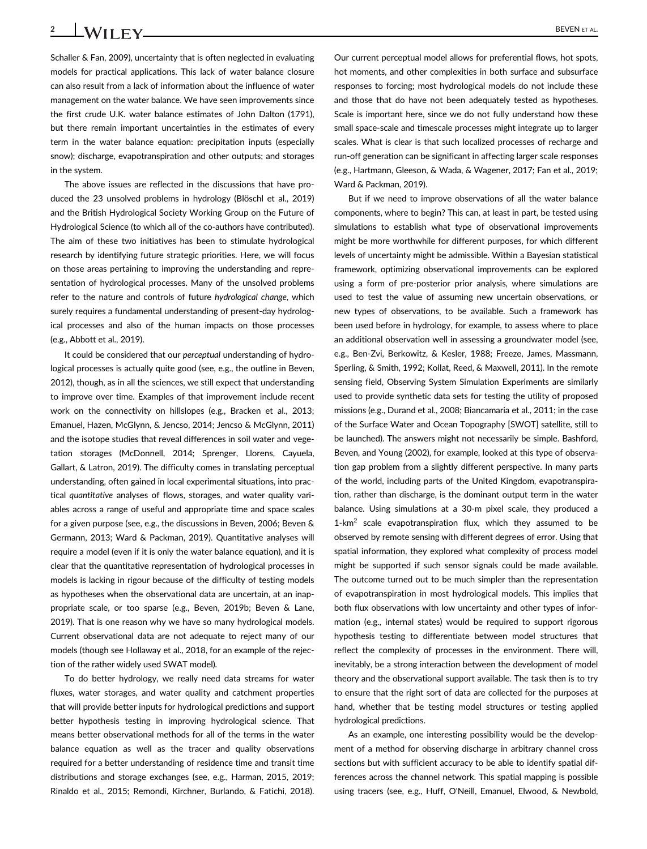**2 WII EV** BEVEN ET AL.

Schaller & Fan, 2009), uncertainty that is often neglected in evaluating models for practical applications. This lack of water balance closure can also result from a lack of information about the influence of water management on the water balance. We have seen improvements since the first crude U.K. water balance estimates of John Dalton (1791), but there remain important uncertainties in the estimates of every term in the water balance equation: precipitation inputs (especially snow); discharge, evapotranspiration and other outputs; and storages in the system.

The above issues are reflected in the discussions that have produced the 23 unsolved problems in hydrology (Blöschl et al., 2019) and the British Hydrological Society Working Group on the Future of Hydrological Science (to which all of the co-authors have contributed). The aim of these two initiatives has been to stimulate hydrological research by identifying future strategic priorities. Here, we will focus on those areas pertaining to improving the understanding and representation of hydrological processes. Many of the unsolved problems refer to the nature and controls of future *hydrological change*, which surely requires a fundamental understanding of present-day hydrological processes and also of the human impacts on those processes (e.g., Abbott et al., 2019).

It could be considered that our *perceptual* understanding of hydrological processes is actually quite good (see, e.g., the outline in Beven, 2012), though, as in all the sciences, we still expect that understanding to improve over time. Examples of that improvement include recent work on the connectivity on hillslopes (e.g., Bracken et al., 2013; Emanuel, Hazen, McGlynn, & Jencso, 2014; Jencso & McGlynn, 2011) and the isotope studies that reveal differences in soil water and vegetation storages (McDonnell, 2014; Sprenger, Llorens, Cayuela, Gallart, & Latron, 2019). The difficulty comes in translating perceptual understanding, often gained in local experimental situations, into practical *quantitative* analyses of flows, storages, and water quality variables across a range of useful and appropriate time and space scales for a given purpose (see, e.g., the discussions in Beven, 2006; Beven & Germann, 2013; Ward & Packman, 2019). Quantitative analyses will require a model (even if it is only the water balance equation), and it is clear that the quantitative representation of hydrological processes in models is lacking in rigour because of the difficulty of testing models as hypotheses when the observational data are uncertain, at an inappropriate scale, or too sparse (e.g., Beven, 2019b; Beven & Lane, 2019). That is one reason why we have so many hydrological models. Current observational data are not adequate to reject many of our models (though see Hollaway et al., 2018, for an example of the rejection of the rather widely used SWAT model).

To do better hydrology, we really need data streams for water fluxes, water storages, and water quality and catchment properties that will provide better inputs for hydrological predictions and support better hypothesis testing in improving hydrological science. That means better observational methods for all of the terms in the water balance equation as well as the tracer and quality observations required for a better understanding of residence time and transit time distributions and storage exchanges (see, e.g., Harman, 2015, 2019; Rinaldo et al., 2015; Remondi, Kirchner, Burlando, & Fatichi, 2018).

Our current perceptual model allows for preferential flows, hot spots, hot moments, and other complexities in both surface and subsurface responses to forcing; most hydrological models do not include these and those that do have not been adequately tested as hypotheses. Scale is important here, since we do not fully understand how these small space-scale and timescale processes might integrate up to larger scales. What is clear is that such localized processes of recharge and run-off generation can be significant in affecting larger scale responses (e.g., Hartmann, Gleeson, & Wada, & Wagener, 2017; Fan et al., 2019; Ward & Packman, 2019).

But if we need to improve observations of all the water balance components, where to begin? This can, at least in part, be tested using simulations to establish what type of observational improvements might be more worthwhile for different purposes, for which different levels of uncertainty might be admissible. Within a Bayesian statistical framework, optimizing observational improvements can be explored using a form of pre-posterior prior analysis, where simulations are used to test the value of assuming new uncertain observations, or new types of observations, to be available. Such a framework has been used before in hydrology, for example, to assess where to place an additional observation well in assessing a groundwater model (see, e.g., Ben-Zvi, Berkowitz, & Kesler, 1988; Freeze, James, Massmann, Sperling, & Smith, 1992; Kollat, Reed, & Maxwell, 2011). In the remote sensing field, Observing System Simulation Experiments are similarly used to provide synthetic data sets for testing the utility of proposed missions (e.g., Durand et al., 2008; Biancamaria et al., 2011; in the case of the Surface Water and Ocean Topography [SWOT] satellite, still to be launched). The answers might not necessarily be simple. Bashford, Beven, and Young (2002), for example, looked at this type of observation gap problem from a slightly different perspective. In many parts of the world, including parts of the United Kingdom, evapotranspiration, rather than discharge, is the dominant output term in the water balance. Using simulations at a 30-m pixel scale, they produced a  $1-km^2$  scale evapotranspiration flux, which they assumed to be observed by remote sensing with different degrees of error. Using that spatial information, they explored what complexity of process model might be supported if such sensor signals could be made available. The outcome turned out to be much simpler than the representation of evapotranspiration in most hydrological models. This implies that both flux observations with low uncertainty and other types of information (e.g., internal states) would be required to support rigorous hypothesis testing to differentiate between model structures that reflect the complexity of processes in the environment. There will, inevitably, be a strong interaction between the development of model theory and the observational support available. The task then is to try to ensure that the right sort of data are collected for the purposes at hand, whether that be testing model structures or testing applied hydrological predictions.

As an example, one interesting possibility would be the development of a method for observing discharge in arbitrary channel cross sections but with sufficient accuracy to be able to identify spatial differences across the channel network. This spatial mapping is possible using tracers (see, e.g., Huff, O'Neill, Emanuel, Elwood, & Newbold,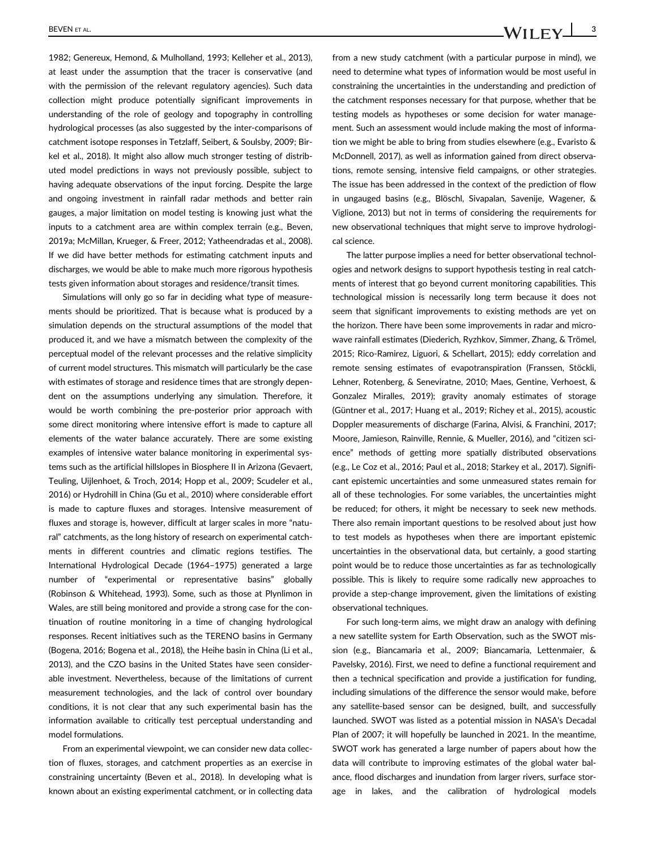BEVEN ET AL. **3**<br>**BEVEN ET AL. 3** 

1982; Genereux, Hemond, & Mulholland, 1993; Kelleher et al., 2013), at least under the assumption that the tracer is conservative (and with the permission of the relevant regulatory agencies). Such data collection might produce potentially significant improvements in understanding of the role of geology and topography in controlling hydrological processes (as also suggested by the inter-comparisons of catchment isotope responses in Tetzlaff, Seibert, & Soulsby, 2009; Birkel et al., 2018). It might also allow much stronger testing of distributed model predictions in ways not previously possible, subject to having adequate observations of the input forcing. Despite the large and ongoing investment in rainfall radar methods and better rain gauges, a major limitation on model testing is knowing just what the inputs to a catchment area are within complex terrain (e.g., Beven, 2019a; McMillan, Krueger, & Freer, 2012; Yatheendradas et al., 2008). If we did have better methods for estimating catchment inputs and discharges, we would be able to make much more rigorous hypothesis tests given information about storages and residence/transit times.

Simulations will only go so far in deciding what type of measurements should be prioritized. That is because what is produced by a simulation depends on the structural assumptions of the model that produced it, and we have a mismatch between the complexity of the perceptual model of the relevant processes and the relative simplicity of current model structures. This mismatch will particularly be the case with estimates of storage and residence times that are strongly dependent on the assumptions underlying any simulation. Therefore, it would be worth combining the pre-posterior prior approach with some direct monitoring where intensive effort is made to capture all elements of the water balance accurately. There are some existing examples of intensive water balance monitoring in experimental systems such as the artificial hillslopes in Biosphere II in Arizona (Gevaert, Teuling, Uijlenhoet, & Troch, 2014; Hopp et al., 2009; Scudeler et al., 2016) or Hydrohill in China (Gu et al., 2010) where considerable effort is made to capture fluxes and storages. Intensive measurement of fluxes and storage is, however, difficult at larger scales in more "natural" catchments, as the long history of research on experimental catchments in different countries and climatic regions testifies. The International Hydrological Decade (1964–1975) generated a large number of "experimental or representative basins" globally (Robinson & Whitehead, 1993). Some, such as those at Plynlimon in Wales, are still being monitored and provide a strong case for the continuation of routine monitoring in a time of changing hydrological responses. Recent initiatives such as the TERENO basins in Germany (Bogena, 2016; Bogena et al., 2018), the Heihe basin in China (Li et al., 2013), and the CZO basins in the United States have seen considerable investment. Nevertheless, because of the limitations of current measurement technologies, and the lack of control over boundary conditions, it is not clear that any such experimental basin has the information available to critically test perceptual understanding and model formulations.

From an experimental viewpoint, we can consider new data collection of fluxes, storages, and catchment properties as an exercise in constraining uncertainty (Beven et al., 2018). In developing what is known about an existing experimental catchment, or in collecting data from a new study catchment (with a particular purpose in mind), we need to determine what types of information would be most useful in constraining the uncertainties in the understanding and prediction of the catchment responses necessary for that purpose, whether that be testing models as hypotheses or some decision for water management. Such an assessment would include making the most of information we might be able to bring from studies elsewhere (e.g., Evaristo & McDonnell, 2017), as well as information gained from direct observations, remote sensing, intensive field campaigns, or other strategies. The issue has been addressed in the context of the prediction of flow in ungauged basins (e.g., Blöschl, Sivapalan, Savenije, Wagener, & Viglione, 2013) but not in terms of considering the requirements for new observational techniques that might serve to improve hydrological science.

The latter purpose implies a need for better observational technologies and network designs to support hypothesis testing in real catchments of interest that go beyond current monitoring capabilities. This technological mission is necessarily long term because it does not seem that significant improvements to existing methods are yet on the horizon. There have been some improvements in radar and microwave rainfall estimates (Diederich, Ryzhkov, Simmer, Zhang, & Trömel, 2015; Rico-Ramirez, Liguori, & Schellart, 2015); eddy correlation and remote sensing estimates of evapotranspiration (Franssen, Stöckli, Lehner, Rotenberg, & Seneviratne, 2010; Maes, Gentine, Verhoest, & Gonzalez Miralles, 2019); gravity anomaly estimates of storage (Güntner et al., 2017; Huang et al., 2019; Richey et al., 2015), acoustic Doppler measurements of discharge (Farina, Alvisi, & Franchini, 2017; Moore, Jamieson, Rainville, Rennie, & Mueller, 2016), and "citizen science" methods of getting more spatially distributed observations (e.g., Le Coz et al., 2016; Paul et al., 2018; Starkey et al., 2017). Significant epistemic uncertainties and some unmeasured states remain for all of these technologies. For some variables, the uncertainties might be reduced; for others, it might be necessary to seek new methods. There also remain important questions to be resolved about just how to test models as hypotheses when there are important epistemic uncertainties in the observational data, but certainly, a good starting point would be to reduce those uncertainties as far as technologically possible. This is likely to require some radically new approaches to provide a step-change improvement, given the limitations of existing observational techniques.

For such long-term aims, we might draw an analogy with defining a new satellite system for Earth Observation, such as the SWOT mission (e.g., Biancamaria et al., 2009; Biancamaria, Lettenmaier, & Pavelsky, 2016). First, we need to define a functional requirement and then a technical specification and provide a justification for funding, including simulations of the difference the sensor would make, before any satellite-based sensor can be designed, built, and successfully launched. SWOT was listed as a potential mission in NASA's Decadal Plan of 2007; it will hopefully be launched in 2021. In the meantime, SWOT work has generated a large number of papers about how the data will contribute to improving estimates of the global water balance, flood discharges and inundation from larger rivers, surface storage in lakes, and the calibration of hydrological models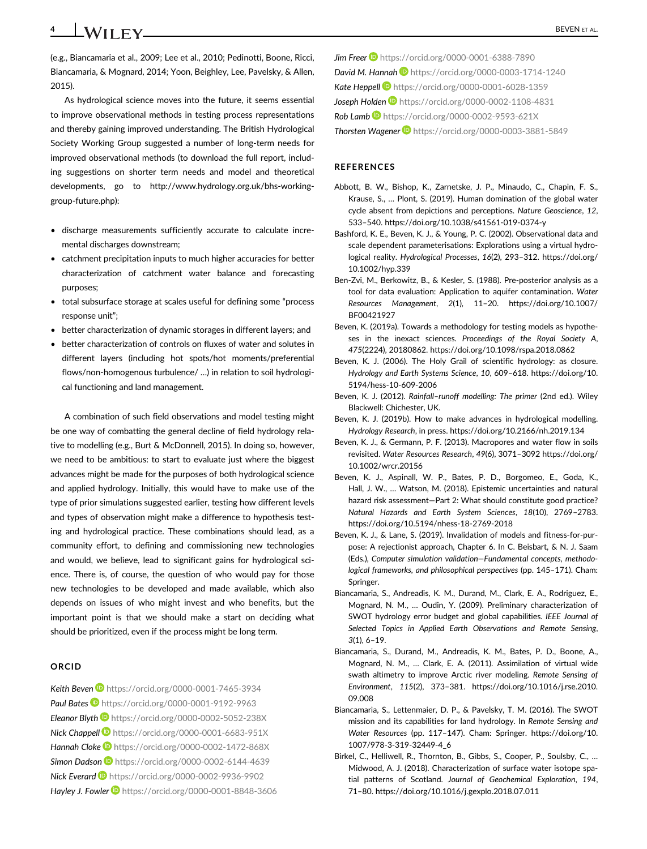**4 WII FV** <u>**CONSERVENTAL.**</u>

(e.g., Biancamaria et al., 2009; Lee et al., 2010; Pedinotti, Boone, Ricci, Biancamaria, & Mognard, 2014; Yoon, Beighley, Lee, Pavelsky, & Allen, 2015).

As hydrological science moves into the future, it seems essential to improve observational methods in testing process representations and thereby gaining improved understanding. The British Hydrological Society Working Group suggested a number of long-term needs for improved observational methods (to download the full report, including suggestions on shorter term needs and model and theoretical developments, go to [http://www.hydrology.org.uk/bhs-working](http://www.hydrology.org.uk/bhs-working-group-future.php)[group-future.php\)](http://www.hydrology.org.uk/bhs-working-group-future.php):

- discharge measurements sufficiently accurate to calculate incremental discharges downstream;
- catchment precipitation inputs to much higher accuracies for better characterization of catchment water balance and forecasting purposes;
- total subsurface storage at scales useful for defining some "process response unit";
- better characterization of dynamic storages in different layers; and
- better characterization of controls on fluxes of water and solutes in different layers (including hot spots/hot moments/preferential flows/non-homogenous turbulence/ …) in relation to soil hydrological functioning and land management.

A combination of such field observations and model testing might be one way of combatting the general decline of field hydrology relative to modelling (e.g., Burt & McDonnell, 2015). In doing so, however, we need to be ambitious: to start to evaluate just where the biggest advances might be made for the purposes of both hydrological science and applied hydrology. Initially, this would have to make use of the type of prior simulations suggested earlier, testing how different levels and types of observation might make a difference to hypothesis testing and hydrological practice. These combinations should lead, as a community effort, to defining and commissioning new technologies and would, we believe, lead to significant gains for hydrological science. There is, of course, the question of who would pay for those new technologies to be developed and made available, which also depends on issues of who might invest and who benefits, but the important point is that we should make a start on deciding what should be prioritized, even if the process might be long term.

### **ORCID**

**Keith Beven D** <https://orcid.org/0000-0001-7465-3934> Paul Bates<sup>1</sup> <https://orcid.org/0000-0001-9192-9963> *Eleanor Blyth* <https://orcid.org/0000-0002-5052-238X> *Nick Chappell* <https://orcid.org/0000-0001-6683-951X> **Hannah Cloke<sup>D</sup>** <https://orcid.org/0000-0002-1472-868X> **Simon Dadson** D <https://orcid.org/0000-0002-6144-4639> *Nick Everard* <https://orcid.org/0000-0002-9936-9902> *Hayley J. Fowler* <https://orcid.org/0000-0001-8848-3606> **Jim Freer D** <https://orcid.org/0000-0001-6388-7890> **David M. Hannah D** <https://orcid.org/0000-0003-1714-1240> *Kate Heppell* <https://orcid.org/0000-0001-6028-1359> *Joseph Holden* <https://orcid.org/0000-0002-1108-4831> *Rob Lamb* <https://orcid.org/0000-0002-9593-621X>

**Thorsten Wagener ID** <https://orcid.org/0000-0003-3881-5849>

## **REFERENCES**

- Abbott, B. W., Bishop, K., Zarnetske, J. P., Minaudo, C., Chapin, F. S., Krause, S., … Plont, S. (2019). Human domination of the global water cycle absent from depictions and perceptions. *Nature Geoscience*, *12*, 533–540.<https://doi.org/10.1038/s41561-019-0374-y>
- Bashford, K. E., Beven, K. J., & Young, P. C. (2002). Observational data and scale dependent parameterisations: Explorations using a virtual hydrological reality. *Hydrological Processes*, *16*(2), 293–312. [https://doi.org/](https://doi.org/10.1002/hyp.339) [10.1002/hyp.339](https://doi.org/10.1002/hyp.339)
- Ben-Zvi, M., Berkowitz, B., & Kesler, S. (1988). Pre-posterior analysis as a tool for data evaluation: Application to aquifer contamination. *Water Resources Management*, *2*(1), 11–20. [https://doi.org/10.1007/](https://doi.org/10.1007/BF00421927) [BF00421927](https://doi.org/10.1007/BF00421927)
- Beven, K. (2019a). Towards a methodology for testing models as hypotheses in the inexact sciences. *Proceedings of the Royal Society A*, *475*(2224), 20180862.<https://doi.org/10.1098/rspa.2018.0862>
- Beven, K. J. (2006). The Holy Grail of scientific hydrology: as closure. *Hydrology and Earth Systems Science*, *10*, 609–618. [https://doi.org/10.](https://doi.org/10.5194/hess-10-609-2006) [5194/hess-10-609-2006](https://doi.org/10.5194/hess-10-609-2006)
- Beven, K. J. (2012). *Rainfall–runoff modelling: The primer* (2nd ed.). Wiley Blackwell: Chichester, UK.
- Beven, K. J. (2019b). How to make advances in hydrological modelling. *Hydrology Research*, in press.<https://doi.org/10.2166/nh.2019.134>
- Beven, K. J., & Germann, P. F. (2013). Macropores and water flow in soils revisited. *Water Resources Research*, *49*(6), 3071–3092 [https://doi.org/](https://doi.org/10.1002/wrcr.20156) [10.1002/wrcr.20156](https://doi.org/10.1002/wrcr.20156)
- Beven, K. J., Aspinall, W. P., Bates, P. D., Borgomeo, E., Goda, K., Hall, J. W., … Watson, M. (2018). Epistemic uncertainties and natural hazard risk assessment—Part 2: What should constitute good practice? *Natural Hazards and Earth System Sciences*, *18*(10), 2769–2783. <https://doi.org/10.5194/nhess-18-2769-2018>
- Beven, K. J., & Lane, S. (2019). Invalidation of models and fitness-for-purpose: A rejectionist approach, Chapter 6. In C. Beisbart, & N. J. Saam (Eds.), *Computer simulation validation—Fundamental concepts, methodological frameworks, and philosophical perspectives* (pp. 145–171). Cham: Springer.
- Biancamaria, S., Andreadis, K. M., Durand, M., Clark, E. A., Rodriguez, E., Mognard, N. M., … Oudin, Y. (2009). Preliminary characterization of SWOT hydrology error budget and global capabilities. *IEEE Journal of Selected Topics in Applied Earth Observations and Remote Sensing*, *3*(1), 6–19.
- Biancamaria, S., Durand, M., Andreadis, K. M., Bates, P. D., Boone, A., Mognard, N. M., … Clark, E. A. (2011). Assimilation of virtual wide swath altimetry to improve Arctic river modeling. *Remote Sensing of Environment*, *115*(2), 373–381. [https://doi.org/10.1016/j.rse.2010.](https://doi.org/10.1016/j.rse.2010.09.008) [09.008](https://doi.org/10.1016/j.rse.2010.09.008)
- Biancamaria, S., Lettenmaier, D. P., & Pavelsky, T. M. (2016). The SWOT mission and its capabilities for land hydrology. In *Remote Sensing and Water Resources* (pp. 117–147). Cham: Springer. [https://doi.org/10.](https://doi.org/10.1007/978-3-319-32449-4_6) [1007/978-3-319-32449-4\\_6](https://doi.org/10.1007/978-3-319-32449-4_6)
- Birkel, C., Helliwell, R., Thornton, B., Gibbs, S., Cooper, P., Soulsby, C., … Midwood, A. J. (2018). Characterization of surface water isotope spatial patterns of Scotland. *Journal of Geochemical Exploration*, *194*, 71–80.<https://doi.org/10.1016/j.gexplo.2018.07.011>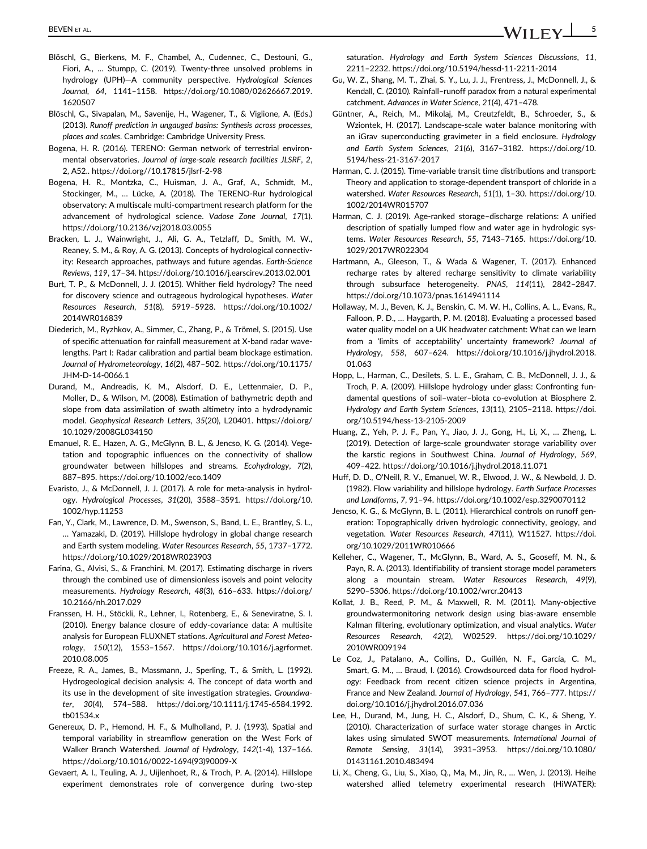- BEVEN ET AL. **SEVEN ET AL.** 5
- Blöschl, G., Bierkens, M. F., Chambel, A., Cudennec, C., Destouni, G., Fiori, A., … Stumpp, C. (2019). Twenty-three unsolved problems in hydrology (UPH)—A community perspective. *Hydrological Sciences Journal*, *64*, 1141–1158. [https://doi.org/10.1080/02626667.2019.](https://doi.org/10.1080/02626667.2019.1620507) [1620507](https://doi.org/10.1080/02626667.2019.1620507)
- Blöschl, G., Sivapalan, M., Savenije, H., Wagener, T., & Viglione, A. (Eds.) (2013). *Runoff prediction in ungauged basins: Synthesis across processes, places and scales*. Cambridge: Cambridge University Press.
- Bogena, H. R. (2016). TERENO: German network of terrestrial environmental observatories. *Journal of large-scale research facilities JLSRF*, *2*, 2, A52..<https://doi.org//10.17815/jlsrf-2-98>
- Bogena, H. R., Montzka, C., Huisman, J. A., Graf, A., Schmidt, M., Stockinger, M., … Lücke, A. (2018). The TERENO-Rur hydrological observatory: A multiscale multi-compartment research platform for the advancement of hydrological science. *Vadose Zone Journal*, *17*(1). <https://doi.org/10.2136/vzj2018.03.0055>
- Bracken, L. J., Wainwright, J., Ali, G. A., Tetzlaff, D., Smith, M. W., Reaney, S. M., & Roy, A. G. (2013). Concepts of hydrological connectivity: Research approaches, pathways and future agendas. *Earth-Science Reviews*, *119*, 17–34.<https://doi.org/10.1016/j.earscirev.2013.02.001>
- Burt, T. P., & McDonnell, J. J. (2015). Whither field hydrology? The need for discovery science and outrageous hydrological hypotheses. *Water Resources Research*, *51*(8), 5919–5928. [https://doi.org/10.1002/](https://doi.org/10.1002/2014WR016839) [2014WR016839](https://doi.org/10.1002/2014WR016839)
- Diederich, M., Ryzhkov, A., Simmer, C., Zhang, P., & Trömel, S. (2015). Use of specific attenuation for rainfall measurement at X-band radar wavelengths. Part I: Radar calibration and partial beam blockage estimation. *Journal of Hydrometeorology*, *16*(2), 487–502. [https://doi.org/10.1175/](https://doi.org/10.1175/JHM-D-14-0066.1) [JHM-D-14-0066.1](https://doi.org/10.1175/JHM-D-14-0066.1)
- Durand, M., Andreadis, K. M., Alsdorf, D. E., Lettenmaier, D. P., Moller, D., & Wilson, M. (2008). Estimation of bathymetric depth and slope from data assimilation of swath altimetry into a hydrodynamic model. *Geophysical Research Letters*, *35*(20), L20401. [https://doi.org/](https://doi.org/10.1029/2008GL034150) [10.1029/2008GL034150](https://doi.org/10.1029/2008GL034150)
- Emanuel, R. E., Hazen, A. G., McGlynn, B. L., & Jencso, K. G. (2014). Vegetation and topographic influences on the connectivity of shallow groundwater between hillslopes and streams. *Ecohydrology*, *7*(2), 887–895.<https://doi.org/10.1002/eco.1409>
- Evaristo, J., & McDonnell, J. J. (2017). A role for meta-analysis in hydrology. *Hydrological Processes*, *31*(20), 3588–3591. [https://doi.org/10.](https://doi.org/10.1002/hyp.11253) [1002/hyp.11253](https://doi.org/10.1002/hyp.11253)
- Fan, Y., Clark, M., Lawrence, D. M., Swenson, S., Band, L. E., Brantley, S. L., … Yamazaki, D. (2019). Hillslope hydrology in global change research and Earth system modeling. *Water Resources Research*, *55*, 1737–1772. <https://doi.org/10.1029/2018WR023903>
- Farina, G., Alvisi, S., & Franchini, M. (2017). Estimating discharge in rivers through the combined use of dimensionless isovels and point velocity measurements. *Hydrology Research*, *48*(3), 616–633. [https://doi.org/](https://doi.org/10.2166/nh.2017.029) [10.2166/nh.2017.029](https://doi.org/10.2166/nh.2017.029)
- Franssen, H. H., Stöckli, R., Lehner, I., Rotenberg, E., & Seneviratne, S. I. (2010). Energy balance closure of eddy-covariance data: A multisite analysis for European FLUXNET stations. *Agricultural and Forest Meteorology*, *150*(12), 1553–1567. [https://doi.org/10.1016/j.agrformet.](https://doi.org/10.1016/j.agrformet.2010.08.005) [2010.08.005](https://doi.org/10.1016/j.agrformet.2010.08.005)
- Freeze, R. A., James, B., Massmann, J., Sperling, T., & Smith, L. (1992). Hydrogeological decision analysis: 4. The concept of data worth and its use in the development of site investigation strategies. *Groundwater*, *30*(4), 574–588. [https://doi.org/10.1111/j.1745-6584.1992.](https://doi.org/10.1111/j.1745-6584.1992.tb01534.x) [tb01534.x](https://doi.org/10.1111/j.1745-6584.1992.tb01534.x)
- Genereux, D. P., Hemond, H. F., & Mulholland, P. J. (1993). Spatial and temporal variability in streamflow generation on the West Fork of Walker Branch Watershed. *Journal of Hydrology*, *142*(1-4), 137–166. [https://doi.org/10.1016/0022-1694\(93\)90009-X](https://doi.org/10.1016/0022-1694(93)90009-X)
- Gevaert, A. I., Teuling, A. J., Uijlenhoet, R., & Troch, P. A. (2014). Hillslope experiment demonstrates role of convergence during two-step

saturation. *Hydrology and Earth System Sciences Discussions*, *11*, 2211–2232.<https://doi.org/10.5194/hessd-11-2211-2014>

- Gu, W. Z., Shang, M. T., Zhai, S. Y., Lu, J. J., Frentress, J., McDonnell, J., & Kendall, C. (2010). Rainfall–runoff paradox from a natural experimental catchment. *Advances in Water Science*, *21*(4), 471–478.
- Güntner, A., Reich, M., Mikolaj, M., Creutzfeldt, B., Schroeder, S., & Wziontek, H. (2017). Landscape-scale water balance monitoring with an iGrav superconducting gravimeter in a field enclosure. *Hydrology and Earth System Sciences*, *21*(6), 3167–3182. [https://doi.org/10.](https://doi.org/10.5194/hess-21-3167-2017) [5194/hess-21-3167-2017](https://doi.org/10.5194/hess-21-3167-2017)
- Harman, C. J. (2015). Time-variable transit time distributions and transport: Theory and application to storage-dependent transport of chloride in a watershed. *Water Resources Research*, *51*(1), 1–30. [https://doi.org/10.](https://doi.org/10.1002/2014WR015707) [1002/2014WR015707](https://doi.org/10.1002/2014WR015707)
- Harman, C. J. (2019). Age-ranked storage–discharge relations: A unified description of spatially lumped flow and water age in hydrologic systems. *Water Resources Research*, *55*, 7143–7165. [https://doi.org/10.](https://doi.org/10.1029/2017WR022304) [1029/2017WR022304](https://doi.org/10.1029/2017WR022304)
- Hartmann, A., Gleeson, T., & Wada & Wagener, T. (2017). Enhanced recharge rates by altered recharge sensitivity to climate variability through subsurface heterogeneity. *PNAS*, *114*(11), 2842–2847. <https://doi.org/10.1073/pnas.1614941114>
- Hollaway, M. J., Beven, K. J., Benskin, C. M. W. H., Collins, A. L., Evans, R., Falloon, P. D., … Haygarth, P. M. (2018). Evaluating a processed based water quality model on a UK headwater catchment: What can we learn from a 'limits of acceptability' uncertainty framework? *Journal of Hydrology*, *558*, 607–624. [https://doi.org/10.1016/j.jhydrol.2018.](https://doi.org/10.1016/j.jhydrol.2018.01.063) [01.063](https://doi.org/10.1016/j.jhydrol.2018.01.063)
- Hopp, L., Harman, C., Desilets, S. L. E., Graham, C. B., McDonnell, J. J., & Troch, P. A. (2009). Hillslope hydrology under glass: Confronting fundamental questions of soil–water–biota co-evolution at Biosphere 2. *Hydrology and Earth System Sciences*, *13*(11), 2105–2118. [https://doi.](https://doi.org/10.5194/hess-13-2105-2009) [org/10.5194/hess-13-2105-2009](https://doi.org/10.5194/hess-13-2105-2009)
- Huang, Z., Yeh, P. J. F., Pan, Y., Jiao, J. J., Gong, H., Li, X., … Zheng, L. (2019). Detection of large-scale groundwater storage variability over the karstic regions in Southwest China. *Journal of Hydrology*, *569*, 409–422.<https://doi.org/10.1016/j.jhydrol.2018.11.071>
- Huff, D. D., O'Neill, R. V., Emanuel, W. R., Elwood, J. W., & Newbold, J. D. (1982). Flow variability and hillslope hydrology. *Earth Surface Processes and Landforms*, *7*, 91–94.<https://doi.org/10.1002/esp.3290070112>
- Jencso, K. G., & McGlynn, B. L. (2011). Hierarchical controls on runoff generation: Topographically driven hydrologic connectivity, geology, and vegetation. *Water Resources Research*, *47*(11), W11527. [https://doi.](https://doi.org/10.1029/2011WR010666) [org/10.1029/2011WR010666](https://doi.org/10.1029/2011WR010666)
- Kelleher, C., Wagener, T., McGlynn, B., Ward, A. S., Gooseff, M. N., & Payn, R. A. (2013). Identifiability of transient storage model parameters along a mountain stream. *Water Resources Research*, *49*(9), 5290–5306.<https://doi.org/10.1002/wrcr.20413>
- Kollat, J. B., Reed, P. M., & Maxwell, R. M. (2011). Many-objective groundwatermonitoring network design using bias-aware ensemble Kalman filtering, evolutionary optimization, and visual analytics. *Water Resources Research*, *42*(2), W02529. [https://doi.org/10.1029/](https://doi.org/10.1029/2010WR009194) [2010WR009194](https://doi.org/10.1029/2010WR009194)
- Le Coz, J., Patalano, A., Collins, D., Guillén, N. F., García, C. M., Smart, G. M., … Braud, I. (2016). Crowdsourced data for flood hydrology: Feedback from recent citizen science projects in Argentina, France and New Zealand. *Journal of Hydrology*, *541*, 766–777. [https://](https://doi.org/10.1016/j.jhydrol.2016.07.036) [doi.org/10.1016/j.jhydrol.2016.07.036](https://doi.org/10.1016/j.jhydrol.2016.07.036)
- Lee, H., Durand, M., Jung, H. C., Alsdorf, D., Shum, C. K., & Sheng, Y. (2010). Characterization of surface water storage changes in Arctic lakes using simulated SWOT measurements. *International Journal of Remote Sensing*, *31*(14), 3931–3953. [https://doi.org/10.1080/](https://doi.org/10.1080/01431161.2010.483494) [01431161.2010.483494](https://doi.org/10.1080/01431161.2010.483494)
- Li, X., Cheng, G., Liu, S., Xiao, Q., Ma, M., Jin, R., … Wen, J. (2013). Heihe watershed allied telemetry experimental research (HiWATER):